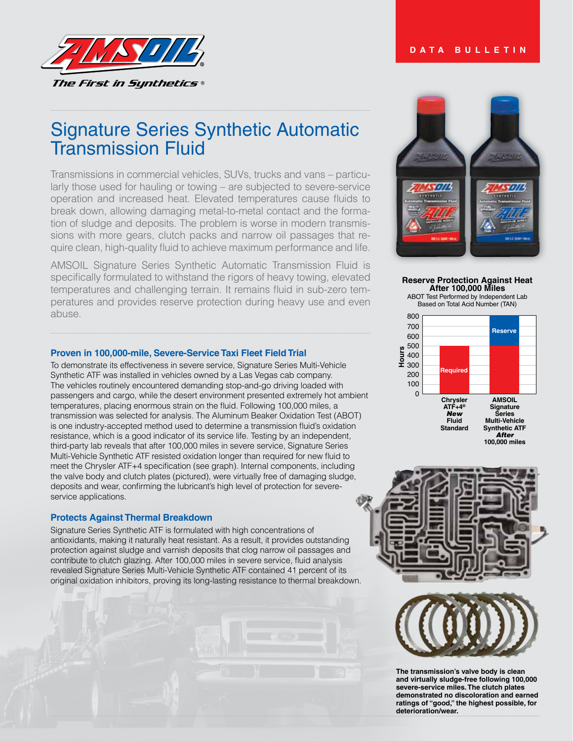# **DATA BULLETIN**



# Signature Series Synthetic Automatic Transmission Fluid

Transmissions in commercial vehicles, SUVs, trucks and vans – particularly those used for hauling or towing – are subjected to severe-service operation and increased heat. Elevated temperatures cause fluids to break down, allowing damaging metal-to-metal contact and the formation of sludge and deposits. The problem is worse in modern transmissions with more gears, clutch packs and narrow oil passages that require clean, high-quality fluid to achieve maximum performance and life.

AMSOIL Signature Series Synthetic Automatic Transmission Fluid is specifically formulated to withstand the rigors of heavy towing, elevated temperatures and challenging terrain. It remains fluid in sub-zero temperatures and provides reserve protection during heavy use and even abuse.

# **Proven in 100,000-mile, Severe-Service Taxi Fleet Field Trial**

To demonstrate its effectiveness in severe service, Signature Series Multi-Vehicle Synthetic ATF was installed in vehicles owned by a Las Vegas cab company. The vehicles routinely encountered demanding stop-and-go driving loaded with passengers and cargo, while the desert environment presented extremely hot ambient temperatures, placing enormous strain on the fluid. Following 100,000 miles, a transmission was selected for analysis. The Aluminum Beaker Oxidation Test (ABOT) is one industry-accepted method used to determine a transmission fluid's oxidation resistance, which is a good indicator of its service life. Testing by an independent, third-party lab reveals that after 100,000 miles in severe service, Signature Series Multi-Vehicle Synthetic ATF resisted oxidation longer than required for new fluid to meet the Chrysler ATF+4 specification (see graph). Internal components, including the valve body and clutch plates (pictured), were virtually free of damaging sludge, deposits and wear, confirming the lubricant's high level of protection for severeservice applications.

#### **Protects Against Thermal Breakdown**

Signature Series Synthetic ATF is formulated with high concentrations of antioxidants, making it naturally heat resistant. As a result, it provides outstanding protection against sludge and varnish deposits that clog narrow oil passages and contribute to clutch glazing. After 100,000 miles in severe service, fluid analysis revealed Signature Series Multi-Vehicle Synthetic ATF contained 41 percent of its original oxidation inhibitors, proving its long-lasting resistance to thermal breakdown.



**Reserve Protection Against Heat After 100,000 Miles**

ABOT Test Performed by Independent Lab Based on Total Acid Number (TAN)







**The transmission's valve body is clean and virtually sludge-free following 100,000 severe-service miles. The clutch plates demonstrated no discoloration and earned ratings of "good," the highest possible, for deterioration/wear.**